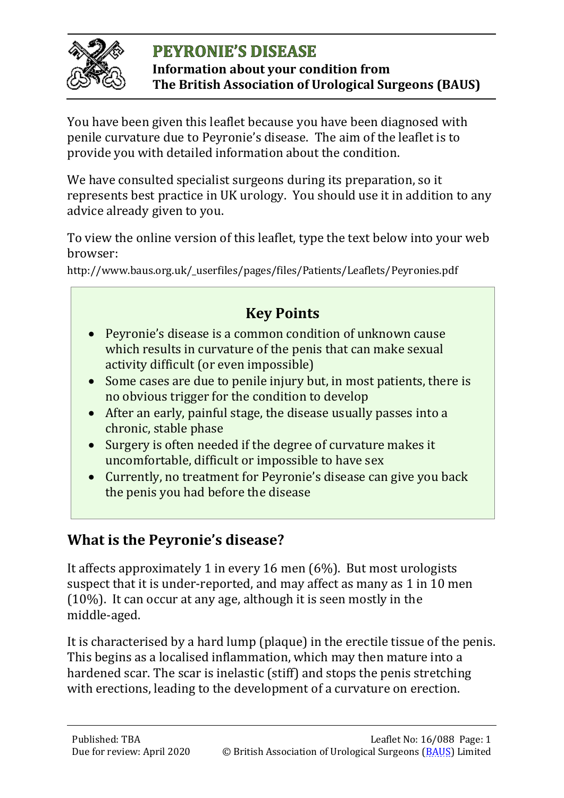

#### **PEYRONIE'S DISEASE Information about your condition from The British Association of Urological Surgeons (BAUS)**

You have been given this leaflet because you have been diagnosed with penile curvature due to Peyronie's disease. The aim of the leaflet is to provide you with detailed information about the condition.

We have consulted specialist surgeons during its preparation, so it represents best practice in UK urology. You should use it in addition to any advice already given to you.

To view the online version of this leaflet, type the text below into your web browser:

http://www.baus.org.uk/\_userfiles/pages/files/Patients/Leaflets/Peyronies.pdf

# **Key Points**

- Peyronie's disease is a common condition of unknown cause which results in curvature of the penis that can make sexual activity difficult (or even impossible)
- Some cases are due to penile injury but, in most patients, there is no obvious trigger for the condition to develop
- After an early, painful stage, the disease usually passes into a chronic, stable phase
- Surgery is often needed if the degree of curvature makes it uncomfortable, difficult or impossible to have sex
- Currently, no treatment for Peyronie's disease can give you back the penis you had before the disease

# **What is the Peyronie's disease?**

It affects approximately 1 in every 16 men (6%). But most urologists suspect that it is under-reported, and may affect as many as 1 in 10 men (10%). It can occur at any age, although it is seen mostly in the middle‑aged.

It is characterised by a hard lump (plaque) in the erectile tissue of the penis. This begins as a localised inflammation, which may then mature into a hardened scar. The scar is inelastic (stiff) and stops the penis stretching with erections, leading to the development of a curvature on erection.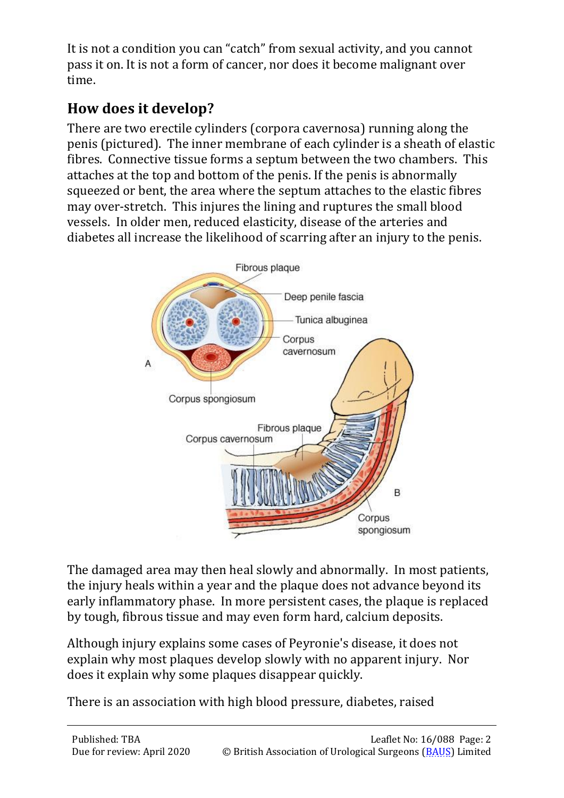It is not a condition you can "catch" from sexual activity, and you cannot pass it on. It is not a form of cancer, nor does it become malignant over time.

# **How does it develop?**

There are two erectile cylinders (corpora cavernosa) running along the penis (pictured). The inner membrane of each cylinder is a sheath of elastic fibres. Connective tissue forms a septum between the two chambers. This attaches at the top and bottom of the penis. If the penis is abnormally squeezed or bent, the area where the septum attaches to the elastic fibres may over-stretch. This injures the lining and ruptures the small blood vessels. In older men, reduced elasticity, disease of the arteries and diabetes all increase the likelihood of scarring after an injury to the penis.



The damaged area may then heal slowly and abnormally. In most patients, the injury heals within a year and the plaque does not advance beyond its early inflammatory phase. In more persistent cases, the plaque is replaced by tough, fibrous tissue and may even form hard, calcium deposits.

Although injury explains some cases of Peyronie's disease, it does not explain why most plaques develop slowly with no apparent injury. Nor does it explain why some plaques disappear quickly.

There is an association with high blood pressure, diabetes, raised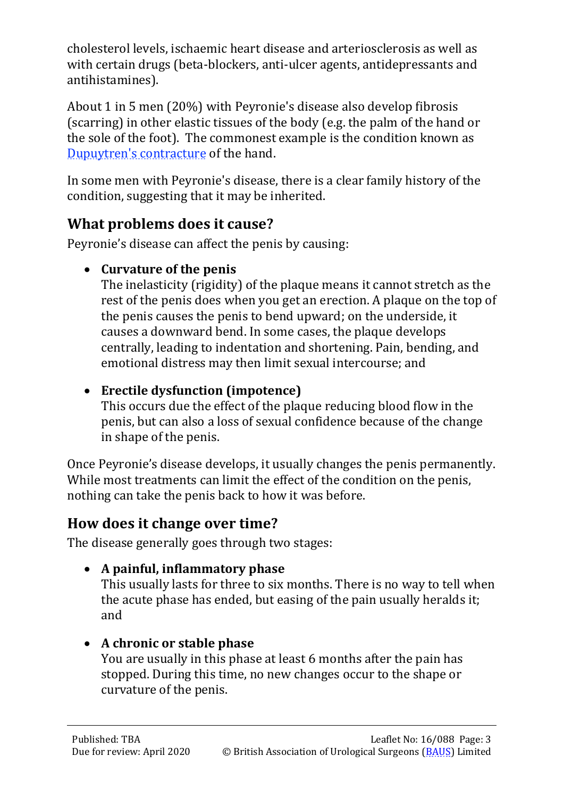cholesterol levels, ischaemic heart disease and arteriosclerosis as well as with certain drugs (beta-blockers, anti-ulcer agents, antidepressants and antihistamines).

About 1 in 5 men (20%) with Peyronie's disease also develop fibrosis (scarring) in other elastic tissues of the body (e.g. the palm of the hand or the sole of the foot). The commonest example is the condition known as [Dupuytren's contracture](http://www.nhs.uk/conditions/Dupuytrens-contracture/Pages/Introduction.aspx) of the hand.

In some men with Peyronie's disease, there is a clear family history of the condition, suggesting that it may be inherited.

## **What problems does it cause?**

Peyronie's disease can affect the penis by causing:

### • **Curvature of the penis**

The inelasticity (rigidity) of the plaque means it cannot stretch as the rest of the penis does when you get an erection. A plaque on the top of the penis causes the penis to bend upward; on the underside, it causes a downward bend. In some cases, the plaque develops centrally, leading to indentation and shortening. Pain, bending, and emotional distress may then limit sexual intercourse; and

### • **Erectile dysfunction (impotence)**

This occurs due the effect of the plaque reducing blood flow in the penis, but can also a loss of sexual confidence because of the change in shape of the penis.

Once Peyronie's disease develops, it usually changes the penis permanently. While most treatments can limit the effect of the condition on the penis, nothing can take the penis back to how it was before.

# **How does it change over time?**

The disease generally goes through two stages:

• **A painful, inflammatory phase**

This usually lasts for three to six months. There is no way to tell when the acute phase has ended, but easing of the pain usually heralds it; and

### • **A chronic or stable phase**

You are usually in this phase at least 6 months after the pain has stopped. During this time, no new changes occur to the shape or curvature of the penis.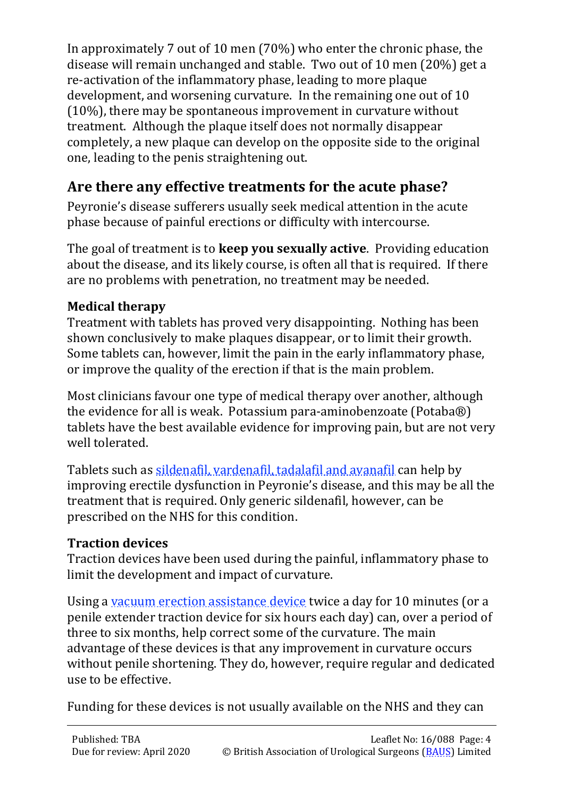In approximately 7 out of 10 men (70%) who enter the chronic phase, the disease will remain unchanged and stable. Two out of 10 men (20%) get a re-activation of the inflammatory phase, leading to more plaque development, and worsening curvature. In the remaining one out of 10 (10%), there may be spontaneous improvement in curvature without treatment. Although the plaque itself does not normally disappear completely, a new plaque can develop on the opposite side to the original one, leading to the penis straightening out.

# **Are there any effective treatments for the acute phase?**

Peyronie's disease sufferers usually seek medical attention in the acute phase because of painful erections or difficulty with intercourse.

The goal of treatment is to **keep you sexually active**. Providing education about the disease, and its likely course, is often all that is required. If there are no problems with penetration, no treatment may be needed.

### **Medical therapy**

Treatment with tablets has proved very disappointing. Nothing has been shown conclusively to make plaques disappear, or to limit their growth. Some tablets can, however, limit the pain in the early inflammatory phase, or improve the quality of the erection if that is the main problem.

Most clinicians favour one type of medical therapy over another, although the evidence for all is weak. Potassium para‑aminobenzoate (Potaba®) tablets have the best available evidence for improving pain, but are not very well tolerated.

Tablets such as [sildenafil, vardenafil, tadalafil and avanafil](http://www.baus.org.uk/_userfiles/pages/files/Patients/Leaflets/Viagra.pdf) can help by improving erectile dysfunction in Peyronie's disease, and this may be all the treatment that is required. Only generic sildenafil, however, can be prescribed on the NHS for this condition.

### **Traction devices**

Traction devices have been used during the painful, inflammatory phase to limit the development and impact of curvature.

Using a <u>vacuum erection assistance device</u> twice a day for 10 minutes (or a penile extender traction device for six hours each day) can, over a period of three to six months, help correct some of the curvature. The main advantage of these devices is that any improvement in curvature occurs without penile shortening. They do, however, require regular and dedicated use to be effective.

Funding for these devices is not usually available on the NHS and they can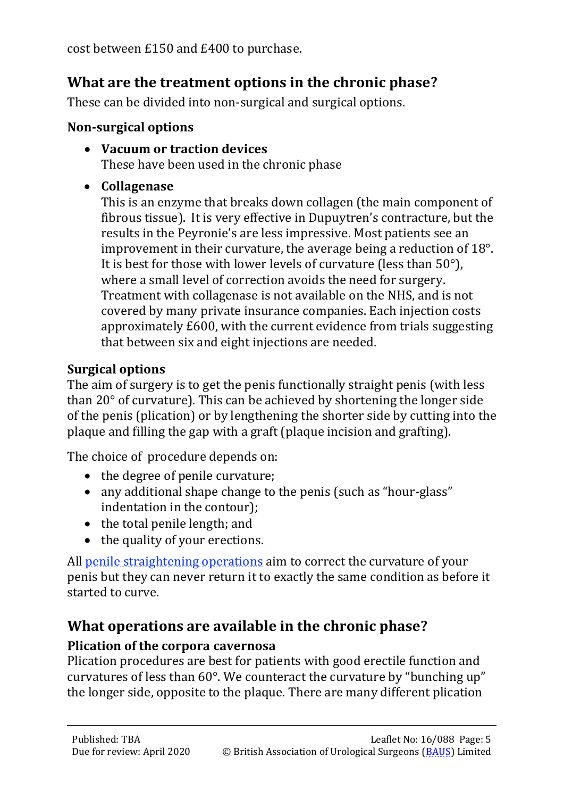cost between £150 and £400 to purchase.

# **What are the treatment options in the chronic phase?**

These can be divided into non-surgical and surgical options.

#### **Non-surgical options**

- **Vacuum or traction devices** These have been used in the chronic phase
- **Collagenase**

This is an enzyme that breaks down collagen (the main component of fibrous tissue). It is very effective in Dupuytren's contracture, but the results in the Peyronie's are less impressive. Most patients see an improvement in their curvature, the average being a reduction of 18°. It is best for those with lower levels of curvature (less than 50°), where a small level of correction avoids the need for surgery. Treatment with collagenase is not available on the NHS, and is not covered by many private insurance companies. Each injection costs approximately £600, with the current evidence from trials suggesting that between six and eight injections are needed.

#### **Surgical options**

The aim of surgery is to get the penis functionally straight penis (with less than 20° of curvature). This can be achieved by shortening the longer side of the penis (plication) or by lengthening the shorter side by cutting into the plaque and filling the gap with a graft (plaque incision and grafting).

The choice of procedure depends on:

- the degree of penile curvature:
- any additional shape change to the penis (such as "hour-glass" indentation in the contour);
- the total penile length; and
- the quality of your erections.

All <u>penile straightening operations</u> aim to correct the curvature of your penis but they can never return it to exactly the same condition as before it started to curve.

# **What operations are available in the chronic phase?**

#### **Plication of the corpora cavernosa**

Plication procedures are best for patients with good erectile function and curvatures of less than 60°. We counteract the curvature by "bunching up" the longer side, opposite to the plaque. There are many different plication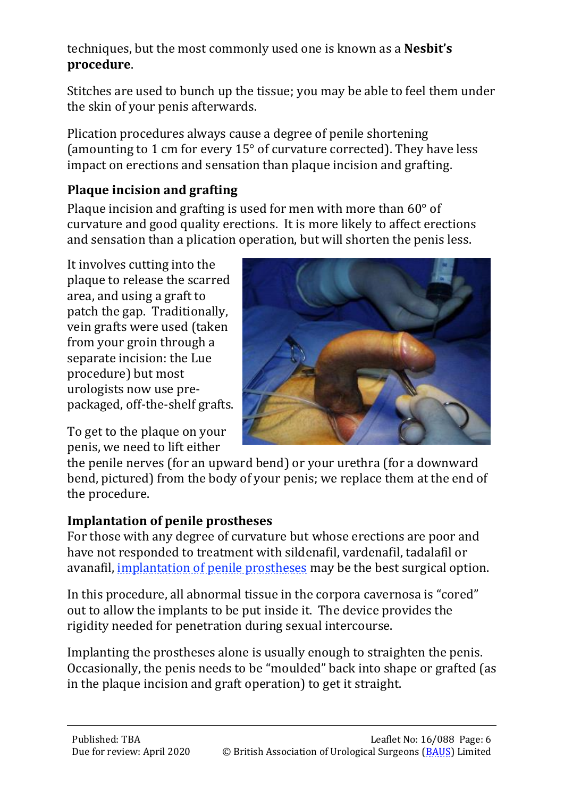techniques, but the most commonly used one is known as a **Nesbit's procedure**.

Stitches are used to bunch up the tissue; you may be able to feel them under the skin of your penis afterwards.

Plication procedures always cause a degree of penile shortening (amounting to 1 cm for every 15° of curvature corrected). They have less impact on erections and sensation than plaque incision and grafting.

#### **Plaque incision and grafting**

Plaque incision and grafting is used for men with more than 60° of curvature and good quality erections. It is more likely to affect erections and sensation than a plication operation, but will shorten the penis less.

It involves cutting into the plaque to release the scarred area, and using a graft to patch the gap. Traditionally, vein grafts were used (taken from your groin through a separate incision: the Lue procedure) but most urologists now use prepackaged, off-the-shelf grafts.

To get to the plaque on your penis, we need to lift either



the penile nerves (for an upward bend) or your urethra (for a downward bend, pictured) from the body of your penis; we replace them at the end of the procedure.

#### **Implantation of penile prostheses**

For those with any degree of curvature but whose erections are poor and have not responded to treatment with sildenafil, vardenafil, tadalafil or avanafil, [implantation of penile prostheses](http://www.baus.org.uk/_userfiles/pages/files/Patients/Leaflets/Penile%20prostheses.pdf) may be the best surgical option.

In this procedure, all abnormal tissue in the corpora cavernosa is "cored" out to allow the implants to be put inside it. The device provides the rigidity needed for penetration during sexual intercourse.

Implanting the prostheses alone is usually enough to straighten the penis. Occasionally, the penis needs to be "moulded" back into shape or grafted (as in the plaque incision and graft operation) to get it straight.